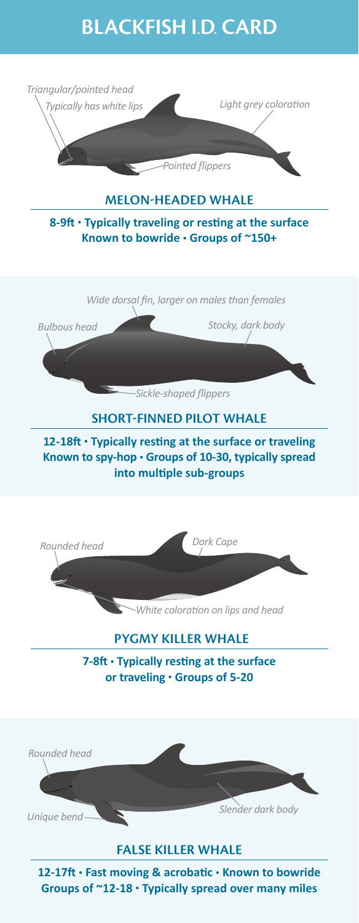# **BLACKFISH I.D. CARD**



**8-9ft • Typically traveling or resting at the surface Known to bowride • Groups of ~150+**



*Bulbous head Stocky, dark body*

*Sickle-shaped flippers*

## **SHORT-FINNED PILOT WHALE**

**12-18ft • Typically resting at the surface or traveling Known to spy-hop • Groups of 10-30, typically spread into multiple sub-groups**



## **PYGMY KILLER WHALE**

**7-8ft • Typically resting at the surface or traveling • Groups of 5-20**



## **FALSE KILLER WHALE**

**12-17ft • Fast moving & acrobatic • Known to bowride Groups of ~12-18 • Typically spread over many miles**